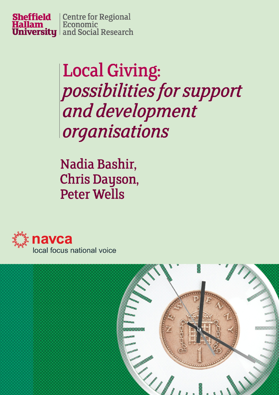

# **Local Giving:** possibilities for support and development organisations

Nadia Bashir, Chris Dayson, **Peter Wells** 



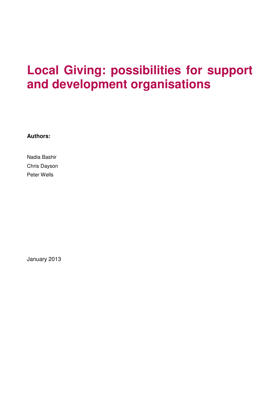## **Local Giving: possibilities for support and development organisations**

**Authors:** 

Nadia Bashir Chris Dayson Peter Wells

January 2013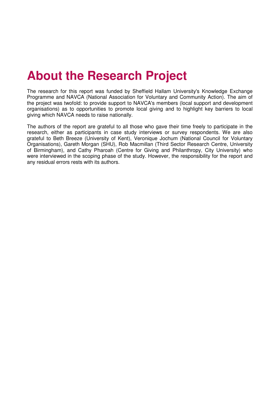## **About the Research Project**

The research for this report was funded by Sheffield Hallam University's Knowledge Exchange Programme and NAVCA (National Association for Voluntary and Community Action). The aim of the project was twofold: to provide support to NAVCA's members (local support and development organisations) as to opportunities to promote local giving and to highlight key barriers to local giving which NAVCA needs to raise nationally.

The authors of the report are grateful to all those who gave their time freely to participate in the research, either as participants in case study interviews or survey respondents. We are also grateful to Beth Breeze (University of Kent), Veronique Jochum (National Council for Voluntary Organisations), Gareth Morgan (SHU), Rob Macmillan (Third Sector Research Centre, University of Birmingham), and Cathy Pharoah (Centre for Giving and Philanthropy, City University) who were interviewed in the scoping phase of the study. However, the responsibility for the report and any residual errors rests with its authors.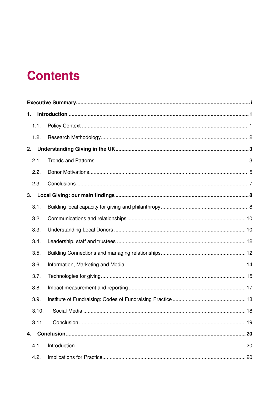## **Contents**

| 1. |       |  |    |  |
|----|-------|--|----|--|
|    | 1.1.  |  |    |  |
|    | 1.2.  |  |    |  |
| 2. |       |  |    |  |
|    | 2.1.  |  |    |  |
|    | 2.2.  |  |    |  |
|    | 2.3.  |  |    |  |
| 3. |       |  |    |  |
|    | 3.1.  |  |    |  |
|    | 3.2.  |  |    |  |
|    | 3.3.  |  |    |  |
|    | 3.4.  |  |    |  |
|    | 3.5.  |  |    |  |
|    | 3.6.  |  |    |  |
|    | 3.7.  |  |    |  |
|    | 3.8.  |  |    |  |
|    | 3.9.  |  |    |  |
|    |       |  |    |  |
|    | 3.11. |  |    |  |
| 4. |       |  |    |  |
|    | 4.1.  |  | 20 |  |
|    | 4.2.  |  |    |  |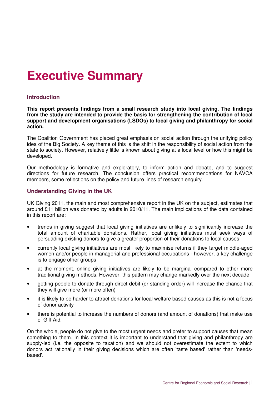## **Executive Summary**

#### **Introduction**

**This report presents findings from a small research study into local giving. The findings from the study are intended to provide the basis for strengthening the contribution of local support and development organisations (LSDOs) to local giving and philanthropy for social action.** 

The Coalition Government has placed great emphasis on social action through the unifying policy idea of the Big Society. A key theme of this is the shift in the responsibility of social action from the state to society. However, relatively little is known about giving at a local level or how this might be developed.

Our methodology is formative and exploratory, to inform action and debate, and to suggest directions for future research. The conclusion offers practical recommendations for NAVCA members, some reflections on the policy and future lines of research enquiry.

### **Understanding Giving in the UK**

UK Giving 2011, the main and most comprehensive report in the UK on the subject, estimates that around £11 billion was donated by adults in 2010/11. The main implications of the data contained in this report are:

- trends in giving suggest that local giving initiatives are unlikely to significantly increase the total amount of charitable donations. Rather, local giving initiatives must seek ways of persuading existing donors to give a greater proportion of their donations to local causes
- currently local giving initiatives are most likely to maximise returns if they target middle-aged women and/or people in managerial and professional occupations - however, a key challenge is to engage other groups
- at the moment, online giving initiatives are likely to be marginal compared to other more traditional giving methods. However, this pattern may change markedly over the next decade
- getting people to donate through direct debit (or standing order) will increase the chance that they will give more (or more often)
- it is likely to be harder to attract donations for local welfare based causes as this is not a focus of donor activity
- there is potential to increase the numbers of donors (and amount of donations) that make use of Gift Aid.

On the whole, people do not give to the most urgent needs and prefer to support causes that mean something to them. In this context it is important to understand that giving and philanthropy are supply-led (i.e. the opposite to taxation) and we should not overestimate the extent to which donors act rationally in their giving decisions which are often 'taste based' rather than 'needsbased'.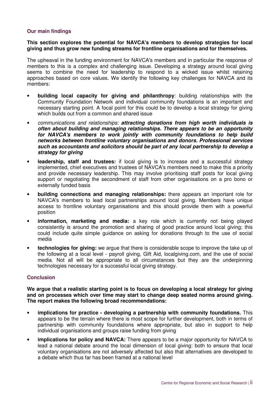#### **Our main findings**

#### **This section explores the potential for NAVCA's members to develop strategies for local giving and thus grow new funding streams for frontline organisations and for themselves.**

The upheaval in the funding environment for NAVCA's members and in particular the response of members to this is a complex and challenging issue. Developing a strategy around local giving seems to combine the need for leadership to respond to a wicked issue whilst retaining approaches based on core values. We identify the following key challenges for NAVCA and its members:

- **building local capacity for giving and philanthropy**: building relationships with the Community Foundation Network and individual community foundations is an important and necessary starting point. A focal point for this could be to develop a local strategy for giving which builds out from a common and shared issue
- communications and relationships: **attracting donations from high worth individuals is often about building and managing relationships. There appears to be an opportunity for NAVCA's members to work jointly with community foundations to help build networks between frontline voluntary organisations and donors. Professional services such as accountants and solicitors should be part of any local partnership to develop a strategy for giving**
- **leadership, staff and trustees:** if local giving is to increase and a successful strategy implemented, chief executives and trustees of NAVCA's members need to make this a priority and provide necessary leadership. This may involve prioritising staff posts for local giving support or negotiating the secondment of staff from other organisations on a pro bono or externally funded basis
- **building connections and managing relationships:** there appears an important role for NAVCA's members to lead local partnerships around local giving. Members have unique access to frontline voluntary organisations and this should provide them with a powerful position
- **information, marketing and media:** a key role which is currently not being played consistently is around the promotion and sharing of good practice around local giving; this could include quite simple guidance on asking for donations through to the use of social media
- **technologies for giving:** we argue that there is considerable scope to improve the take up of the following at a local level - payroll giving, Gift Aid, localgiving.com, and the use of social media. Not all will be appropriate to all circumstances but they are the underpinning technologies necessary for a successful local giving strategy.

#### **Conclusion**

**We argue that a realistic starting point is to focus on developing a local strategy for giving and on processes which over time may start to change deep seated norms around giving. The report makes the following broad recommendations:** 

- **implications for practice developing a partnership with community foundations.** This appears to be the terrain where there is most scope for further development, both in terms of partnership with community foundations where appropriate, but also in support to help individual organisations and groups raise funding from giving
- **implications for policy and NAVCA:** There appears to be a major opportunity for NAVCA to lead a national debate around the local dimension of local giving: both to ensure that local voluntary organisations are not adversely affected but also that alternatives are developed to a debate which thus far has been framed at a national level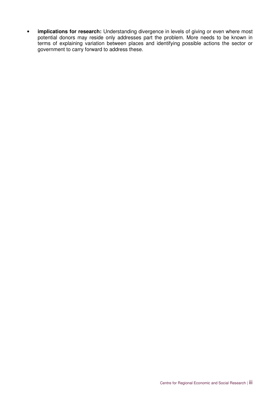• **implications for research:** Understanding divergence in levels of giving or even where most potential donors may reside only addresses part the problem. More needs to be known in terms of explaining variation between places and identifying possible actions the sector or government to carry forward to address these.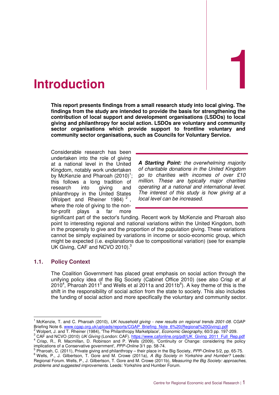

**This report presents findings from a small research study into local giving. The findings from the study are intended to provide the basis for strengthening the contribution of local support and development organisations (LSDOs) to local giving and philanthropy for social action. LSDOs are voluntary and community sector organisations which provide support to frontline voluntary and community sector organisations, such as Councils for Voluntary Service.** 

Considerable research has been undertaken into the role of giving at a national level in the United Kingdom, notably work undertaken by McKenzie and Pharoah  $(2010)^1$ ; this follows a long tradition of research into giving and philanthropy in the United States (Wolpert and Rheiner 1984)<sup>2</sup>, where the role of giving to the nonfor-profit plays a far more

**A Starting Point:** the overwhelming majority of charitable donations in the United Kingdom go to charities with incomes of over £10 million. These are typically major charities operating at a national and international level. The interest of this study is how giving at a local level can be increased.

significant part of the sector's funding. Recent work by McKenzie and Pharoah also point to interesting regional and national variations within the United Kingdom, both in the propensity to give and the proportion of the population giving. These variations cannot be simply explained by variations in income or socio-economic group, which might be expected (i.e. explanations due to compositional variation) (see for example UK Giving, CAF and NCVO 2010).<sup>3</sup>

### **1.1. Policy Context**

The Coalition Government has placed great emphasis on social action through the unifying policy idea of the Big Society (Cabinet Office 2010) (see also Crisp et al 2010<sup>4</sup>, Pharoah 2011<sup>5</sup> and Wells et al 2011a and 2011b<sup>6</sup>). A key theme of this is the shift in the responsibility of social action from the state to society. This also includes the funding of social action and more specifically the voluntary and community sector.

 $\overline{a}$ 1 McKenzie, T. and C. Pharoah (2010), UK household giving - new results on regional trends 2001-08. CGAP Briefing Note 6. www.cgap.org.uk/uploads/reports/CGAP\_Briefing\_Note\_6%20(Regional%20Giving).pdf

<sup>&</sup>lt;sup>2</sup> Wolpert, J. and T. Rheiner (1984), 'The Philanthropy Marketplace', *Economic Geography*, 60/3 pp. 197-209.

<sup>&</sup>lt;sup>3</sup> CAF and NCVO (2010) UK Giving (London: CAF). https://www.cafonline.org/pdf/UK\_Giving\_2011\_Full\_Rep.pdf <sup>4</sup> Crisp, R., R. Macmillan, D. Robinson and P. Wells (2009), 'Continuity or Change: considering the policy implications of a Conservative government', PPP-Online 3/1 pp. 58-74.

<sup>&</sup>lt;sup>5</sup> Pharoah, C. (2011), Private giving and philanthropy – their place in the Big Society, PPP-Online 5/2, pp. 65-75. <sup>6</sup> Wells, P., J. Gilbertson, T. Gore and M. Crowe (2011a), A Big Society in Yorkshire and Humber? Leeds: Regional Forum. Wells, P., J. Gilbertson, T. Gore and M. Crowe (2011b), Measuring the Big Society: approaches, problems and suggested improvements. Leeds: Yorkshire and Humber Forum.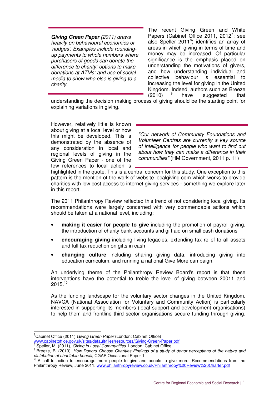**Giving Green Paper** (2011) draws heavily on behavioural economics or 'nudges'. Examples include roundingup payments to whole numbers where purchasers of goods can donate the difference to charity; options to make donations at ATMs; and use of social media to show who else is giving to a charity.

The recent Giving Green and White Papers (Cabinet Office 2011, 2012<sup>7</sup>; see also Speller 2011<sup>8</sup>) identifies an array of areas in which giving in terms of time and money may be increased. Of particular significance is the emphasis placed on understanding the motivations of givers, and how understanding individual and collective behaviour is essential to increasing the level for giving in the United Kingdom. Indeed, authors such as Breeze  $(2010)$ have suggested that

understanding the decision making process of giving should be the starting point for explaining variations in giving.

However, relatively little is known about giving at a local level or how this might be developed. This is demonstrated by the absence of any consideration in local and regional levels of giving in the Giving Green Paper - one of the few references to local action is

"Our network of Community Foundations and Volunteer Centres are currently a key source of intelligence for people who want to find out about how they can make a difference in their communities" (HM Government, 2011 p. 11)

highlighted in the quote. This is a central concern for this study. One exception to this pattern is the mention of the work of website localgiving.com which works to provide charities with low cost access to internet giving services - something we explore later in this report.

The 2011 Philanthropy Review reflected this trend of not considering local giving. Its recommendations were largely concerned with very commendable actions which should be taken at a national level, including:

- **making it easier for people to give** including the promotion of payroll giving, the introduction of charity bank accounts and gift aid on small cash donations
- **encouraging giving** including living legacies, extending tax relief to all assets and full tax reduction on gifts in cash
- **changing culture** including sharing giving data, introducing giving into education curriculum, and running a national Give More campaign.

An underlying theme of the Philanthropy Review Board's report is that these interventions have the potential to treble the level of giving between 20011 and  $2015.^{10}$ 

As the funding landscape for the voluntary sector changes in the United Kingdom, NAVCA (National Association for Voluntary and Community Action) is particularly interested in supporting its members (local support and development organisations) to help them and frontline third sector organisations secure funding through giving.

 $\overline{a}$  $7$ Cabinet Office (2011) Giving Green Paper (London: Cabinet Office) www.cabinetoffice.gov.uk/sites/default/files/resources/Giving-Green-Paper.pdf<br><sup>8</sup> Spoller, M. (2011), *Giving in Logal Communities*, London: Cobinet Office

Speller, M. (2011), Giving in Local Communities. London: Cabinet Office.

<sup>&</sup>lt;sup>9</sup> Breeze, B. (2010), How Donors Choose Charities Findings of a study of donor perceptions of the nature and distribution of charitable benefit, CGAP Occasional Paper 1.

<sup>&</sup>lt;sup>10</sup> A call to action to encourage more people to give and people to give more. Recommendations from the Philanthropy Review, June 2011. www.philanthropyreview.co.uk/Philanthropy%20Review%20Charter.pdf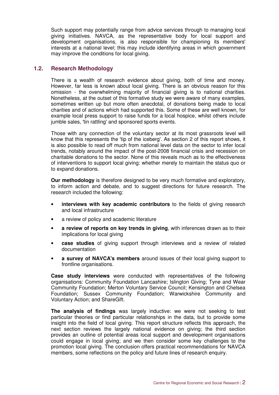Such support may potentially range from advice services through to managing local giving initiatives. NAVCA, as the representative body for local support and development organisations, is also responsible for championing its members' interests at a national level; this may include identifying areas in which government may improve the conditions for local giving.

#### **1.2. Research Methodology**

There is a wealth of research evidence about giving, both of time and money. However, far less is known about local giving. There is an obvious reason for this omission - the overwhelming majority of financial giving is to national charities. Nonetheless, at the outset of this formative study we were aware of many examples, sometimes written up but more often anecdotal, of donations being made to local charities and of actions which had supported this. Some of these are well known, for example local press support to raise funds for a local hospice, whilst others include jumble sales, 'tin rattling' and sponsored sports events.

Those with any connection of the voluntary sector at its most grassroots level will know that this represents the 'tip of the iceberg'. As section 2 of this report shows, it is also possible to read off much from national level data on the sector to infer local trends, notably around the impact of the post-2008 financial crisis and recession on charitable donations to the sector. None of this reveals much as to the effectiveness of interventions to support local giving: whether merely to maintain the status quo or to expand donations.

**Our methodology** is therefore designed to be very much formative and exploratory, to inform action and debate, and to suggest directions for future research. The research included the following:

- **interviews with key academic contributors** to the fields of giving research and local infrastructure
- a review of policy and academic literature
- **a review of reports on key trends in giving**, with inferences drawn as to their implications for local giving
- **case studies** of giving support through interviews and a review of related documentation
- **a survey of NAVCA's members** around issues of their local giving support to frontline organisations.

**Case study interviews** were conducted with representatives of the following organisations: Community Foundation Lancashire; Islington Giving; Tyne and Wear Community Foundation; Merton Voluntary Service Council; Kensington and Chelsea Foundation; Sussex Community Foundation; Warwickshire Community and Voluntary Action; and ShareGift.

**The analysis of findings** was largely inductive: we were not seeking to test particular theories or find particular relationships in the data, but to provide some insight into the field of local giving. This report structure reflects this approach, the next section reviews the largely national evidence on giving; the third section provides an outline of potential areas local support and development organisations could engage in local giving; and we then consider some key challenges to the promotion local giving. The conclusion offers practical recommendations for NAVCA members, some reflections on the policy and future lines of research enquiry.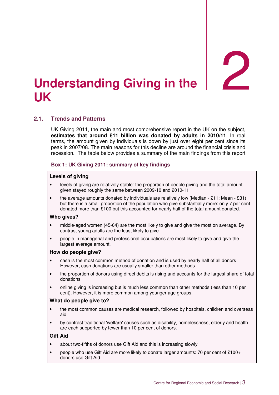2

## **Understanding Giving in the UK**

## **2.1. Trends and Patterns**

UK Giving 2011, the main and most comprehensive report in the UK on the subject, **estimates that around £11 billion was donated by adults in 2010/11**. In real terms, the amount given by individuals is down by just over eight per cent since its peak in 2007/08. The main reasons for this decline are around the financial crisis and recession. The table below provides a summary of the main findings from this report.

#### **Box 1: UK Giving 2011: summary of key findings**

#### **Levels of giving**

- levels of giving are relatively stable: the proportion of people giving and the total amount given stayed roughly the same between 2009-10 and 2010-11
- the average amounts donated by individuals are relatively low (Median £11; Mean £31) but there is a small proportion of the population who give substantially more: only 7 per cent donated more than £100 but this accounted for nearly half of the total amount donated.

#### **Who gives?**

- middle-aged women (45-64) are the most likely to give and give the most on average. By contrast young adults are the least likely to give
- people in managerial and professional occupations are most likely to give and give the largest average amount.

#### **How do people give?**

- cash is the most common method of donation and is used by nearly half of all donors However, cash donations are usually smaller than other methods
- the proportion of donors using direct debits is rising and accounts for the largest share of total donations
- online giving is increasing but is much less common than other methods (less than 10 per cent). However, it is more common among younger age groups.

#### **What do people give to?**

- the most common causes are medical research, followed by hospitals, children and overseas aid
- by contrast traditional 'welfare' causes such as disability, homelessness, elderly and health are each supported by fewer than 10 per cent of donors.

#### **Gift Aid**

- about two-fifths of donors use Gift Aid and this is increasing slowly
- people who use Gift Aid are more likely to donate larger amounts: 70 per cent of £100+ donors use Gift Aid.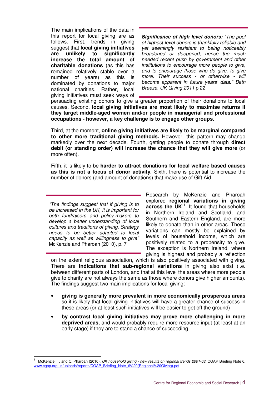The main implications of the data in this report for local giving are as follows. First, trends in giving suggest that **local giving initiatives are unlikely to significantly increase the total amount of charitable donations** (as this has remained relatively stable over a number of years) as this is dominated by donations to major national charities. Rather, local giving initiatives must seek ways of

**Significance of high level donors:** "The pool of highest-level donors is thankfully reliable and yet seemingly resistant to being noticeably broadened or deepened, hence the much needed recent push by government and other institutions to encourage more people to give, and to encourage those who do give, to give more. Their success - or otherwise - will become apparent in future years' data." Beth Breeze, UK Giving 2011 p 22

persuading existing donors to give a greater proportion of their donations to local causes. Second, **local giving initiatives are most likely to maximise returns if they target middle-aged women and/or people in managerial and professional occupations - however, a key challenge is to engage other groups**.

Third, at the moment, **online giving initiatives are likely to be marginal compared to other more traditional giving methods.** However, this pattern may change markedly over the next decade. Fourth, getting people to donate through **direct debit (or standing order) will increase the chance that they will give more** (or more often).

Fifth, it is likely to be **harder to attract donations for local welfare based causes as this is not a focus of donor activity.** Sixth, there is potential to increase the number of donors (and amount of donations) that make use of Gift Aid.

"The findings suggest that if giving is to be increased in the UK, it is important for both fundraisers and policy-makers to develop a better understanding of local cultures and traditions of giving. Strategy needs to be better adapted to local capacity as well as willingness to give" McKenzie and Pharoah (2010), p. 7

 $\overline{a}$ 

Research by McKenzie and Pharoah explored **regional variations in giving across the UK<sup>11</sup>**. It found that households in Northern Ireland and Scotland, and Southern and Eastern England, are more likely to donate than in other areas. These variations can mostly be explained by levels of household income, which are positively related to a propensity to give. The exception is Northern Ireland, where giving is highest and probably a reflection

on the extent religious association, which is also positively associated with giving. There are **indications that sub-regional variations** in giving also exist (i.e. between different parts of London, and that at this level the areas where more people give to charity are not always the same as those where donors give higher amounts). The findings suggest two main implications for local giving:

- **giving is generally more prevalent in more economically prosperous areas** so it is likely that local giving initiatives will have a greater chance of success in these areas (or at least such initiatives will be easier to get off the ground)
- **by contrast local giving initiatives may prove more challenging in more deprived areas**, and would probably require more resource input (at least at an early stage) if they are to stand a chance of succeeding.

<sup>&</sup>lt;sup>11</sup> McKenzie, T. and C. Pharoah (2010), UK household giving - new results on regional trends 2001-08. CGAP Briefing Note 6. www.cgap.org.uk/uploads/reports/CGAP\_Briefing\_Note\_6%20(Regional%20Giving).pdf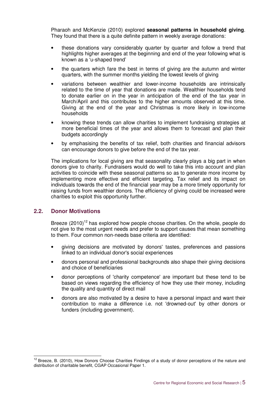Pharaoh and McKenzie (2010) explored **seasonal patterns in household giving**. They found that there is a quite definite pattern in weekly average donations:

- these donations vary considerably quarter by quarter and follow a trend that highlights higher averages at the beginning and end of the year following what is known as a 'u-shaped trend'
- the quarters which fare the best in terms of giving are the autumn and winter quarters, with the summer months yielding the lowest levels of giving
- variations between wealthier and lower-income households are intrinsically related to the time of year that donations are made. Wealthier households tend to donate earlier on in the year in anticipation of the end of the tax year in March/April and this contributes to the higher amounts observed at this time. Giving at the end of the year and Christmas is more likely in low-income households
- knowing these trends can allow charities to implement fundraising strategies at more beneficial times of the year and allows them to forecast and plan their budgets accordingly
- by emphasising the benefits of tax relief, both charities and financial advisors can encourage donors to give before the end of the tax year.

The implications for local giving are that seasonality clearly plays a big part in when donors give to charity. Fundraisers would do well to take this into account and plan activities to coincide with these seasonal patterns so as to generate more income by implementing more effective and efficient targeting. Tax relief and its impact on individuals towards the end of the financial year may be a more timely opportunity for raising funds from wealthier donors. The efficiency of giving could be increased were charities to exploit this opportunity further.

#### **2.2. Donor Motivations**

 $\overline{\phantom{a}}$ 

Breeze  $(2010)^{12}$  has explored how people choose charities. On the whole, people do not give to the most urgent needs and prefer to support causes that mean something to them. Four common non-needs base criteria are identified:

- giving decisions are motivated by donors' tastes, preferences and passions linked to an individual donor's social experiences
- donors personal and professional backgrounds also shape their giving decisions and choice of beneficiaries
- donor perceptions of 'charity competence' are important but these tend to be based on views regarding the efficiency of how they use their money, including the quality and quantity of direct mail
- donors are also motivated by a desire to have a personal impact and want their contribution to make a difference i.e. not 'drowned-out' by other donors or funders (including government).

<sup>&</sup>lt;sup>12</sup> Breeze, B. (2010), How Donors Choose Charities Findings of a study of donor perceptions of the nature and distribution of charitable benefit, CGAP Occasional Paper 1.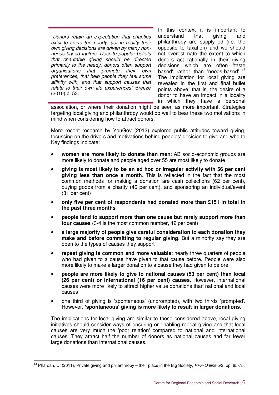"Donors retain an expectation that charities exist to serve the needy, yet in reality their own giving decisions are driven by many nonneeds based factors. Despite popular beliefs that charitable giving should be directed primarily to the needy, donors often support organisations that promote their own preferences, that help people they feel some affinity with, and that support causes that relate to their own life experiences" Breeze (2010) p. 53.

In this context it is important to understand that giving and philanthropy are supply-led (i.e. the opposite to taxation) and we should not overestimate the extent to which donors act rationally in their giving decisions which are often 'taste based' rather than 'needs-based'.<sup>13</sup> The implication for local giving are revealed in the first and final bullet points above: that is, the desire of a donor to have an impact in a locality in which they have a personal

association, or where their donation might be seen as more important. Strategies targeting local giving and philanthropy would do well to bear these two motivations in mind when considering how to attract donors.

More recent research by YouGov (2012) explored public attitudes toward giving, focussing on the drivers and motivations behind peoples' decision to give and who to. Key findings indicate:

- **women are more likely to donate than men;** AB socio-economic groups are more likely to donate and people aged over 55 are most likely to donate
- **giving is most likely to be an ad hoc or irregular activity with 56 per cent giving less than once a month**. This is reflected in the fact that the most common methods for making a donation are cash collections (62 per cent), buying goods from a charity (46 per cent), and sponsoring an individual/event (31 per cent)
- **only five per cent of respondents had donated more than £151 in total in the past three months**
- **people tend to support more than one cause but rarely support more than four causes** (3-4 is the most common number, 42 per cent)
- **a large majority of people give careful consideration to each donation they make and before committing to regular giving**. But a minority say they are open to the types of causes they support
- **repeat giving is common and more valuable**: nearly three quarters of people who had given to a cause have given to that cause before. People were also more likely to make a larger donation to a cause they had given to before
- **people are more likely to give to national causes (53 per cent) than local (26 per cent) or international (16 per cent) causes**. However, international causes were more likely to attract higher value donations than national and local causes
- one third of giving is 'spontaneous' (unprompted), with two thirds 'prompted'. However, **'spontaneous' giving is more likely to result in larger donations.**

The implications for local giving are similar to those considered above, local giving initiatives should consider ways of ensuring or enabling repeat giving and that local causes are very much the 'poor relation' compared to national and international causes. They attract half the number of donors as national causes and far fewer large donations than international causes.

 $\overline{a}$ <sup>13</sup> Pharoah, C. (2011), Private giving and philanthropy – their place in the Big Society, PPP-Online 5/2, pp. 65-75.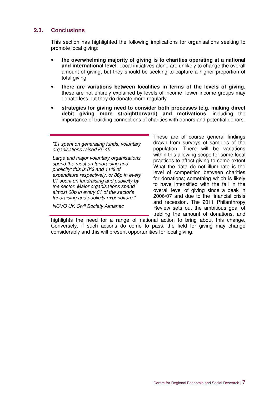#### **2.3. Conclusions**

This section has highlighted the following implications for organisations seeking to promote local giving:

- **the overwhelming majority of giving is to charities operating at a national and international level**. Local initiatives alone are unlikely to change the overall amount of giving, but they should be seeking to capture a higher proportion of total giving
- **there are variations between localities in terms of the levels of giving**, these are not entirely explained by levels of income; lower income groups may donate less but they do donate more regularly
- **strategies for giving need to consider both processes (e.g. making direct debit giving more straightforward) and motivations**, including the importance of building connections of charities with donors and potential donors.

"£1 spent on generating funds, voluntary organisations raised £5.45.

Large and major voluntary organisations spend the most on fundraising and publicity: this is 8% and 11% of expenditure respectively, or 86p in every £1 spent on fundraising and publicity by the sector. Major organisations spend almost 60p in every £1 of the sector's fundraising and publicity expenditure."

NCVO UK Civil Society Almanac

These are of course general findings drawn from surveys of samples of the population. There will be variations within this allowing scope for some local practices to affect giving to some extent. What the data do not illuminate is the level of competition between charities for donations; something which is likely to have intensified with the fall in the overall level of giving since a peak in 2006/07 and due to the financial crisis and recession. The 2011 Philanthropy Review sets out the ambitious goal of trebling the amount of donations, and

highlights the need for a range of national action to bring about this change. Conversely, if such actions do come to pass, the field for giving may change considerably and this will present opportunities for local giving.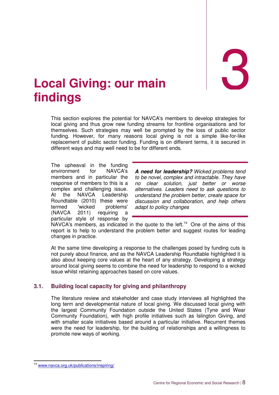3

## 3. **Local Giving: our main findings**

This section explores the potential for NAVCA's members to develop strategies for local giving and thus grow new funding streams for frontline organisations and for themselves. Such strategies may well be prompted by the loss of public sector funding. However, for many reasons local giving is not a simple like-for-like replacement of public sector funding. Funding is on different terms, it is secured in different ways and may well need to be for different ends.

The upheaval in the funding environment for NAVCA's members and in particular the response of members to this is a complex and challenging issue. At the NAVCA Leadership Roundtable (2010) these were termed 'wicked problems' (NAVCA 2011) requiring a particular style of response by

**A need for leadership?** Wicked problems tend to be novel, complex and intractable. They have no clear solution, just better or worse alternatives. Leaders need to ask questions to understand the problem better, create space for discussion and collaboration, and help others adapt to policy changes

NAVCA's members, as indicated in the quote to the left.<sup>14</sup> One of the aims of this report is to help to understand the problem better and suggest routes for leading changes in practice.

At the same time developing a response to the challenges posed by funding cuts is not purely about finance, and as the NAVCA Leadership Roundtable highlighted it is also about keeping core values at the heart of any strategy. Developing a strategy around local giving seems to combine the need for leadership to respond to a wicked issue whilst retaining approaches based on core values.

### **3.1. Building local capacity for giving and philanthropy**

The literature review and stakeholder and case study interviews all highlighted the long term and developmental nature of local giving. We discussed local giving with the largest Community Foundation outside the United States (Tyne and Wear Community Foundation), with high profile initiatives such as Islington Giving, and with smaller scale initiatives based around a particular initiative. Recurrent themes were the need for leadership, for the building of relationships and a willingness to promote new ways of working.

 $\overline{a}$ 

<sup>&</sup>lt;sup>14</sup> www.navca.org.uk/publications/inspiring/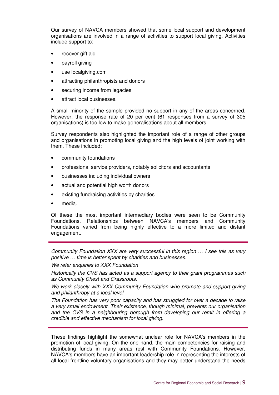Our survey of NAVCA members showed that some local support and development organisations are involved in a range of activities to support local giving. Activities include support to:

- recover gift aid
- payroll giving
- use localgiving.com
- attracting philanthropists and donors
- securing income from legacies
- attract local businesses.

A small minority of the sample provided no support in any of the areas concerned. However, the response rate of 20 per cent (61 responses from a survey of 305 organisations) is too low to make generalisations about all members.

Survey respondents also highlighted the important role of a range of other groups and organisations in promoting local giving and the high levels of joint working with them. These included:

- community foundations
- professional service providers, notably solicitors and accountants
- businesses including individual owners
- actual and potential high worth donors
- existing fundraising activities by charities
- media.

Of these the most important intermediary bodies were seen to be Community Foundations. Relationships between NAVCA's members and Community Foundations varied from being highly effective to a more limited and distant engagement.

Community Foundation XXX are very successful in this region … I see this as very positive … time is better spent by charities and businesses.

We refer enquiries to XXX Foundation

Historically the CVS has acted as a support agency to their grant programmes such as Community Chest and Grassroots.

We work closely with XXX Community Foundation who promote and support giving and philanthropy at a local level

The Foundation has very poor capacity and has struggled for over a decade to raise a very small endowment. Their existence, though minimal, prevents our organisation and the CVS in a neighbouring borough from developing our remit in offering a credible and effective mechanism for local giving.

These findings highlight the somewhat unclear role for NAVCA's members in the promotion of local giving. On the one hand, the main competencies for raising and distributing funds in many areas rest with Community Foundations. However, NAVCA's members have an important leadership role in representing the interests of all local frontline voluntary organisations and they may better understand the needs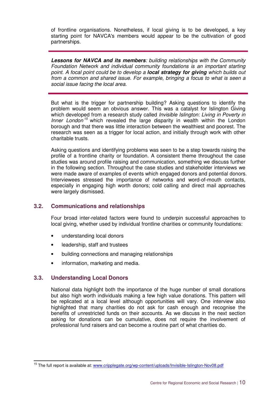of frontline organisations. Nonetheless, if local giving is to be developed, a key starting point for NAVCA's members would appear to be the cultivation of good partnerships.

**Lessons for NAVCA and its members**: building relationships with the Community Foundation Network and individual community foundations is an important starting point. A focal point could be to develop a **local strategy for giving** which builds out from a common and shared issue. For example, bringing a focus to what is seen a social issue facing the local area.

But what is the trigger for partnership building? Asking questions to identify the problem would seem an obvious answer. This was a catalyst for Islington Giving which developed from a research study called *Invisible Islington: Living in Poverty in* Inner London<sup>15</sup> which revealed the large disparity in wealth within the London borough and that there was little interaction between the wealthiest and poorest. The research was seen as a trigger for local action, and initially through work with other charitable trusts.

Asking questions and identifying problems was seen to be a step towards raising the profile of a frontline charity or foundation. A consistent theme throughout the case studies was around profile raising and communication, something we discuss further in the following section. Throughout the case studies and stakeholder interviews we were made aware of examples of events which engaged donors and potential donors. Interviewees stressed the importance of networks and word-of-mouth contacts, especially in engaging high worth donors; cold calling and direct mail approaches were largely dismissed.

### **3.2. Communications and relationships**

Four broad inter-related factors were found to underpin successful approaches to local giving, whether used by individual frontline charities or community foundations:

- understanding local donors
- leadership, staff and trustees
- building connections and managing relationships
- information, marketing and media.

#### **3.3. Understanding Local Donors**

 $\overline{a}$ 

National data highlight both the importance of the huge number of small donations but also high worth individuals making a few high value donations. This pattern will be replicated at a local level although opportunities will vary. One interview also highlighted that many charities do not ask for cash enough and recognise the benefits of unrestricted funds on their accounts. As we discuss in the next section asking for donations can be cumulative, does not require the involvement of professional fund raisers and can become a routine part of what charities do.

<sup>&</sup>lt;sup>15</sup> The full report is available at: www.cripplegate.org/wp-content/uploads/Invisible-Islington-Nov08.pdf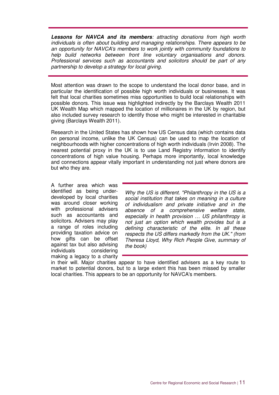**Lessons for NAVCA and its members**: attracting donations from high worth individuals is often about building and managing relationships. There appears to be an opportunity for NAVCA's members to work jointly with community foundations to help build networks between front line voluntary organisations and donors. Professional services such as accountants and solicitors should be part of any partnership to develop a strategy for local giving.

Most attention was drawn to the scope to understand the local donor base, and in particular the identification of possible high worth individuals or businesses. It was felt that local charities sometimes miss opportunities to build local relationships with possible donors. This issue was highlighted indirectly by the Barclays Wealth 2011 UK Wealth Map which mapped the location of millionaires in the UK by region, but also included survey research to identify those who might be interested in charitable giving (Barclays Wealth 2011).

Research in the United States has shown how US Census data (which contains data on personal income, unlike the UK Census) can be used to map the location of neighbourhoods with higher concentrations of high worth individuals (Irvin 2008). The nearest potential proxy in the UK is to use Land Registry information to identify concentrations of high value housing. Perhaps more importantly, local knowledge and connections appear vitally important in understanding not just where donors are but who they are.

A further area which was identified as being underdeveloped by local charities was around closer working with professional advisers such as accountants and solicitors. Advisers may play a range of roles including providing taxation advice on how gifts can be offset against tax but also advising individuals considering making a legacy to a charity

Why the US is different. "Philanthropy in the US is a social institution that takes on meaning in a culture of individualism and private initiative and in the absence of a comprehensive welfare state, especially in health provision … US philanthropy is not just an option which wealth provides but is a defining characteristic of the elite. In all these respects the US differs markedly from the UK." (from Theresa Lloyd, Why Rich People Give, summary of the book)

in their will. Major charities appear to have identified advisers as a key route to market to potential donors, but to a large extent this has been missed by smaller local charities. This appears to be an opportunity for NAVCA's members.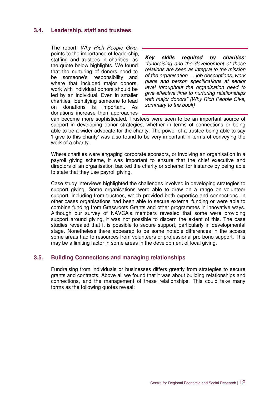#### **3.4. Leadership, staff and trustees**

The report, Why Rich People Give, points to the importance of leadership, staffing and trustees in charities, as the quote below highlights. We found that the nurturing of donors need to be someone's responsibility and where that included major donors, work with individual donors should be led by an individual. Even in smaller charities, identifying someone to lead on donations is important. As donations increase then approaches

**Key skills required by charities**: "fundraising and the development of these relations are seen as integral to the mission of the organisation … job descriptions, work plans and person specifications at senior level throughout the organisation need to give effective time to nurturing relationships with major donors" (Why Rich People Give, summary to the book)

can become more sophisticated. Trustees were seen to be an important source of support in developing donor strategies, whether in terms of connections or being able to be a wider advocate for the charity. The power of a trustee being able to say 'I give to this charity' was also found to be very important in terms of conveying the work of a charity.

Where charities were engaging corporate sponsors, or involving an organisation in a payroll giving scheme, it was important to ensure that the chief executive and directors of an organisation backed the charity or scheme: for instance by being able to state that they use payroll giving.

Case study interviews highlighted the challenges involved in developing strategies to support giving. Some organisations were able to draw on a range on volunteer support, including from trustees, which provided both expertise and connections. In other cases organisations had been able to secure external funding or were able to combine funding from Grassroots Grants and other programmes in innovative ways. Although our survey of NAVCA's members revealed that some were providing support around giving, it was not possible to discern the extent of this. The case studies revealed that it is possible to secure support, particularly in developmental stage. Nonetheless there appeared to be some notable differences in the access some areas had to resources from volunteers or professional pro bono support. This may be a limiting factor in some areas in the development of local giving.

### **3.5. Building Connections and managing relationships**

Fundraising from individuals or businesses differs greatly from strategies to secure grants and contracts. Above all we found that it was about building relationships and connections, and the management of these relationships. This could take many forms as the following quotes reveal: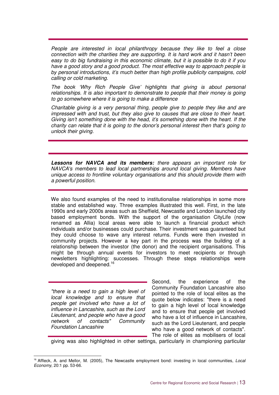People are interested in local philanthropy because they like to feel a close connection with the charities they are supporting. It is hard work and it hasn't been easy to do big fundraising in this economic climate, but it is possible to do it if you have a good story and a good product. The most effective way to approach people is by personal introductions, it's much better than high profile publicity campaigns, cold calling or cold marketing.

The book 'Why Rich People Give' highlights that giving is about personal relationships. It is also important to demonstrate to people that their money is going to go somewhere where it is going to make a difference

Charitable giving is a very personal thing, people give to people they like and are impressed with and trust, but they also give to causes that are close to their heart. Giving isn't something done with the head, it's something done with the heart. If the charity can relate that it is going to the donor's personal interest then that's going to unlock their giving.

**Lessons for NAVCA and its members:** there appears an important role for NAVCA's members to lead local partnerships around local giving. Members have unique access to frontline voluntary organisations and this should provide them with a powerful position.

We also found examples of the need to institutionalise relationships in some more stable and established way. Three examples illustrated this well. First, in the late 1990s and early 2000s areas such as Sheffield, Newcastle and London launched city based employment bonds. With the support of the organisation CityLife (now renamed as Allia) local areas were able to launch a financial product which individuals and/or businesses could purchase. Their investment was guaranteed but they could choose to wave any interest returns. Funds were then invested in community projects. However a key part in the process was the building of a relationship between the investor (the donor) and the recipient organisations. This might be through annual events for investors to meet recipients or through newsletters highlighting: successes. Through these steps relationships were developed and deepened.<sup>16</sup>

"there is a need to gain a high level of local knowledge and to ensure that people get involved who have a lot of influence in Lancashire, such as the Lord Lieutenant, and people who have a good network of contacts" Community Foundation Lancashire

 $\ddot{\phantom{a}}$ 

Second, the experience of the Community Foundation Lancashire also pointed to the role of local elites as the quote below indicates: "there is a need to gain a high level of local knowledge and to ensure that people get involved who have a lot of influence in Lancashire. such as the Lord Lieutenant, and people who have a good network of contacts". The role of elites as mobilisers of local

giving was also highlighted in other settings, particularly in championing particular

<sup>&</sup>lt;sup>16</sup> Affleck, A. and Mellor, M. (2005), The Newcastle employment bond: investing in local communities, Local Economy, 20:1 pp. 53-66.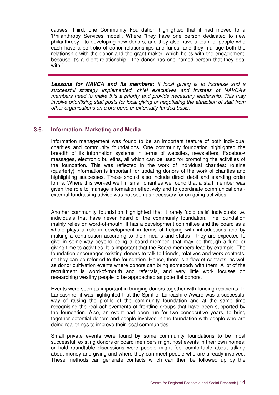causes. Third, one Community Foundation highlighted that it had moved to a 'Philanthropy Services model'. Where "they have one person dedicated to new philanthropy - to developing new donors, and they also have a team of people who each have a portfolio of donor relationships and funds, and they manage both the relationship with the donor and the grant maker, which helps with the engagement, because it's a client relationship - the donor has one named person that they deal with."

**Lessons for NAVCA and its members:** if local giving is to increase and a successful strategy implemented, chief executives and trustees of NAVCA's members need to make this a priority and provide necessary leadership. This may involve prioritising staff posts for local giving or negotiating the attraction of staff from other organisations on a pro bono or externally funded basis.

#### **3.6. Information, Marketing and Media**

Information management was found to be an important feature of both individual charities and community foundations. One community foundation highlighted the breadth of its information systems in terms of websites, newsletters, Facebook messages, electronic bulletins, all which can be used for promoting the activities of the foundation. This was reflected in the work of individual charities: routine (quarterly) information is important for updating donors of the work of charities and highlighting successes. These should also include direct debit and standing order forms. Where this worked well in small charities we found that a staff member was given the role to manage information effectively and to coordinate communications external fundraising advice was not seen as necessary for on-going activities.

Another community foundation highlighted that it rarely 'cold calls' individuals i.e. individuals that have never heard of the community foundation. The foundation mainly relies on word-of-mouth. It has a development committee and the board as a whole plays a role in development in terms of helping with introductions and by making a contribution according to their means and status - they are expected to give in some way beyond being a board member, that may be through a fund or giving time to activities. It is important that the Board members lead by example. The foundation encourages existing donors to talk to friends, relatives and work contacts, so they can be referred to the foundation. Hence, there is a flow of contacts, as well as donor cultivation events where donors can bring somebody with them. A lot of the recruitment is word-of-mouth and referrals, and very little work focuses on researching wealthy people to be approached as potential donors.

Events were seen as important in bringing donors together with funding recipients. In Lancashire, it was highlighted that the Spirit of Lancashire Award was a successful way of raising the profile of the community foundation and at the same time recognising the real achievements of frontline groups that have been supported by the foundation. Also, an event had been run for two consecutive years, to bring together potential donors and people involved in the foundation with people who are doing real things to improve their local communities.

Small private events were found by some community foundations to be most successful: existing donors or board members might host events in their own homes; or hold roundtable discussions were people might feel comfortable about talking about money and giving and where they can meet people who are already involved. These methods can generate contacts which can then be followed up by the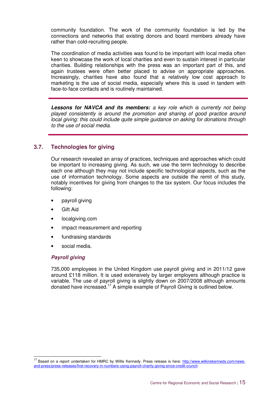community foundation. The work of the community foundation is led by the connections and networks that existing donors and board members already have rather than cold-recruiting people.

The coordination of media activities was found to be important with local media often keen to showcase the work of local charities and even to sustain interest in particular charities. Building relationships with the press was an important part of this, and again trustees were often better placed to advise on appropriate approaches. Increasingly, charities have also found that a relatively low cost approach to marketing is the use of social media, especially where this is used in tandem with face-to-face contacts and is routinely maintained.

**Lessons for NAVCA and its members:** a key role which is currently not being played consistently is around the promotion and sharing of good practice around local giving: this could include quite simple guidance on asking for donations through to the use of social media.

### **3.7. Technologies for giving**

Our research revealed an array of practices, techniques and approaches which could be important to increasing giving. As such, we use the term technology to describe each one although they may not include specific technological aspects, such as the use of information technology. Some aspects are outside the remit of this study, notably incentives for giving from changes to the tax system. Our focus includes the following:

- payroll giving
- Gift Aid
- localgiving.com
- impact measurement and reporting
- fundraising standards
- social media.

#### **Payroll giving**

735,000 employees in the United Kingdom use payroll giving and in 2011/12 gave around £118 million. It is used extensively by larger employers although practice is variable. The use of payroll giving is slightly down on 2007/2008 although amounts donated have increased.<sup>17</sup> A simple example of Payroll Giving is outlined below.

 $\overline{a}$ <sup>17</sup> Based on a report undertaken for HMRC by Willis Kennedy. Press release is here: http://www.wilkinskennedy.com/newsand-press/press-releases/first-recovery-in-numbers-using-payroll-charity-giving-since-credit-crunch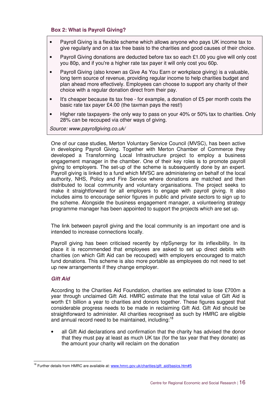#### **Box 2: What is Payroll Giving?**

- Payroll Giving is a flexible scheme which allows anyone who pays UK income tax to give regularly and on a tax free basis to the charities and good causes of their choice.
- Payroll Giving donations are deducted before tax so each £1.00 you give will only cost you 80p, and if you're a higher rate tax payer it will only cost you 60p.
- Payroll Giving (also known as Give As You Earn or workplace giving) is a valuable. long term source of revenue, providing regular income to help charities budget and plan ahead more effectively. Employees can choose to support any charity of their choice with a regular donation direct from their pay.
- It's cheaper because its tax free for example, a donation of £5 per month costs the basic rate tax payer £4.00 (the taxman pays the rest!)
- Higher rate taxpayers- the only way to pass on your 40% or 50% tax to charities. Only 28% can be recouped via other ways of giving.

Source: www.payrollgiving.co.uk/

One of our case studies, Merton Voluntary Service Council (MVSC), has been active in developing Payroll Giving. Together with Merton Chamber of Commerce they developed a Transforming Local Infrastructure project to employ a business engagement manager in the chamber. One of their key roles is to promote payroll giving to employers. The set-up of the scheme is subsequently done by an expert. Payroll giving is linked to a fund which MVSC are administering on behalf of the local authority, NHS, Policy and Fire Service where donations are matched and then distributed to local community and voluntary organisations. The project seeks to make it straightforward for all employers to engage with payroll giving. It also includes aims to encourage senior figures in public and private sectors to sign up to the scheme. Alongside the business engagement manager, a volunteering strategy programme manager has been appointed to support the projects which are set up.

The link between payroll giving and the local community is an important one and is intended to increase connections locally.

Payroll giving has been criticised recently by nfpSynergy for its inflexibility. In its place it is recommended that employees are asked to set up direct debits with charities (on which Gift Aid can be recouped) with employers encouraged to match fund donations. This scheme is also more portable as employees do not need to set up new arrangements if they change employer.

#### **Gift Aid**

According to the Charities Aid Foundation, charities are estimated to lose £700m a year through unclaimed Gift Aid. HMRC estimate that the total value of Gift Aid is worth £1 billion a year to charities and donors together. These figures suggest that considerable progress needs to be made in reclaiming Gift Aid. Gift Aid should be straightforward to administer. All charities recognised as such by HMRC are eligible and annual record need to be maintained, including:<sup>18</sup>

• all Gift Aid declarations and confirmation that the charity has advised the donor that they must pay at least as much UK tax (for the tax year that they donate) as the amount your charity will reclaim on the donation

 $\overline{a}$ <sup>18</sup> Further details from HMRC are available at: www.hmrc.gov.uk/charities/gift\_aid/basics.htm#5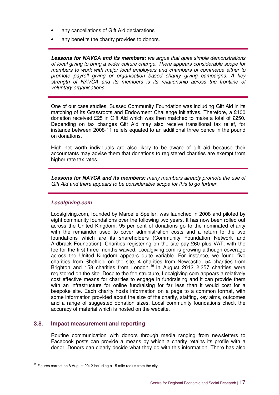- any cancellations of Gift Aid declarations
- any benefits the charity provides to donors.

**Lessons for NAVCA and its members:** we argue that quite simple demonstrations of local giving to bring a wider culture change. There appears considerable scope for members to work with major local employers and chambers of commerce either to promote payroll giving or organisation based charity giving campaigns. A key strength of NAVCA and its members is its relationship across the frontline of voluntary organisations.

One of our case studies, Sussex Community Foundation was including Gift Aid in its matching of its Grassroots and Endowment Challenge initiatives. Therefore, a £100 donation received £25 in Gift Aid which was then matched to make a total of £250. Depending on tax changes Gift Aid may also receive transitional tax relief, for instance between 2008-11 reliefs equated to an additional three pence in the pound on donations.

High net worth individuals are also likely to be aware of gift aid because their accountants may advise them that donations to registered charities are exempt from higher rate tax rates.

**Lessons for NAVCA and its members:** many members already promote the use of Gift Aid and there appears to be considerable scope for this to go further.

#### **Localgiving.com**

Localgiving.com, founded by Marcelle Speller, was launched in 2008 and piloted by eight community foundations over the following two years. It has now been rolled out across the United Kingdom. 95 per cent of donations go to the nominated charity with the remainder used to cover administration costs and a return to the two foundations which are its shareholders (Community Foundation Network and Ardbrack Foundation). Charities registering on the site pay £60 plus VAT, with the fee for the first three months waived. Localgiving.com is growing although coverage across the United Kingdom appears quite variable. For instance, we found five charities from Sheffield on the site, 4 charities from Newcastle, 54 charities from Brighton and 158 charities from London.<sup>19</sup> In August 2012 2,357 charities were registered on the site. Despite the fee structure, Localgiving.com appears a relatively cost effective means for charities to engage in fundraising and it can provide them with an infrastructure for online fundraising for far less than it would cost for a bespoke site. Each charity hosts information on a page to a common format, with some information provided about the size of the charity, staffing, key aims, outcomes and a range of suggested donation sizes. Local community foundations check the accuracy of material which is hosted on the website.

#### **3.8. Impact measurement and reporting**

Routine communication with donors through media ranging from newsletters to Facebook posts can provide a means by which a charity retains its profile with a donor. Donors can clearly decide what they do with this information. There has also

 $\overline{a}$  $19$  Figures correct on 8 August 2012 including a 15 mile radius from the city.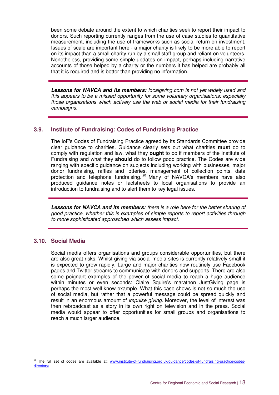been some debate around the extent to which charities seek to report their impact to donors. Such reporting currently ranges from the use of case studies to quantitative measurement, including the use of frameworks such as social return on investment. Issues of scale are important here - a major charity is likely to be more able to report on its impact than a small charity run by a small staff group and reliant on volunteers. Nonetheless, providing some simple updates on impact, perhaps including narrative accounts of those helped by a charity or the numbers it has helped are probably all that it is required and is better than providing no information.

**Lessons for NAVCA and its members:** localgiving.com is not yet widely used and this appears to be a missed opportunity for some voluntary organisations: especially those organisations which actively use the web or social media for their fundraising campaigns.

### **3.9. Institute of Fundraising: Codes of Fundraising Practice**

The IoF's Codes of Fundraising Practice agreed by its Standards Committee provide clear guidance to charities. Guidance clearly sets out what charities **must** do to comply with regulation and law, what they **ought** to do if members of the Institute of Fundraising and what they **should** do to follow good practice. The Codes are wide ranging with specific guidance on subjects including working with businesses, major donor fundraising, raffles and lotteries, management of collection points, data protection and telephone fundraising.<sup>20</sup> Many of NAVCA's members have also produced guidance notes or factsheets to local organisations to provide an introduction to fundraising and to alert them to key legal issues.

**Lessons for NAVCA and its members:** there is a role here for the better sharing of good practice, whether this is examples of simple reports to report activities through to more sophisticated approached which assess impact.

#### **3.10. Social Media**

Social media offers organisations and groups considerable opportunities, but there are also great risks. Whilst giving via social media sites is currently relatively small it is expected to grow rapidly. Large and major charities now routinely use Facebook pages and Twitter streams to communicate with donors and supports. There are also some poignant examples of the power of social media to reach a huge audience within minutes or even seconds: Claire Squire's marathon JustGiving page is perhaps the most well know example. What this case shows is not so much the use of social media, but rather that a powerful message could be spread quickly and result in an enormous amount of *impulse giving*. Moreover, the level of interest was then rebroadcast as a story in its own right on television and in the press. Social media would appear to offer opportunities for small groups and organisations to reach a much larger audience.

 $\overline{a}$ <sup>20</sup> The full set of codes are available at: www.institute-of-fundraising.org.uk/guidance/codes-of-fundraising-practice/codesdirectory/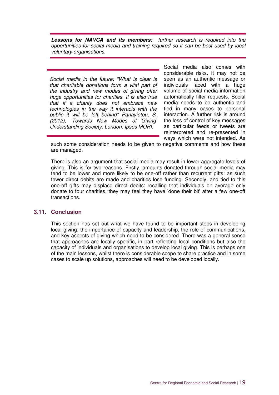**Lessons for NAVCA and its members:** further research is required into the opportunities for social media and training required so it can be best used by local voluntary organisations.

Social media in the future: "What is clear is that charitable donations form a vital part of the industry and new modes of giving offer huge opportunities for charities. It is also true that if a charity does not embrace new technologies in the way it interacts with the public it will be left behind" Panayiotou, S. (2012), 'Towards New Modes of Giving' Understanding Society. London: Ipsos MORI.

Social media also comes with considerable risks. It may not be seen as an authentic message or individuals faced with a huge volume of social media information automatically filter requests. Social media needs to be authentic and tied in many cases to personal interaction. A further risk is around the loss of control of key messages as particular feeds or tweets are reinterpreted and re-presented in ways which were not intended. As

such some consideration needs to be given to negative comments and how these are managed.

There is also an argument that social media may result in lower aggregate levels of giving. This is for two reasons. Firstly, amounts donated through social media may tend to be lower and more likely to be one-off rather than recurrent gifts: as such fewer direct debits are made and charities lose funding. Secondly, and tied to this one-off gifts may displace direct debits: recalling that individuals on average only donate to four charities, they may feel they have 'done their bit' after a few one-off transactions.

#### **3.11. Conclusion**

This section has set out what we have found to be important steps in developing local giving: the importance of capacity and leadership, the role of communications, and key aspects of giving which need to be considered. There was a general sense that approaches are locally specific, in part reflecting local conditions but also the capacity of individuals and organisations to develop local giving. This is perhaps one of the main lessons, whilst there is considerable scope to share practice and in some cases to scale up solutions, approaches will need to be developed locally.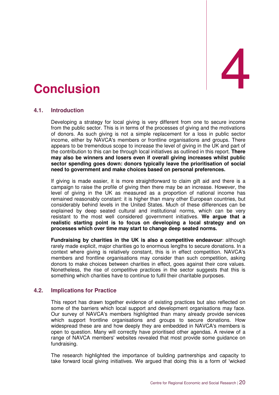# 4. **Conclusion** 4

### **4.1. Introduction**

Developing a strategy for local giving is very different from one to secure income from the public sector. This is in terms of the processes of giving and the motivations of donors. As such giving is not a simple replacement for a loss in public sector income, either by NAVCA's members or frontline organisations and groups. There appears to be tremendous scope to increase the level of giving in the UK and part of the contribution to this can be through local initiatives as outlined in this report. **There may also be winners and losers even if overall giving increases whilst public sector spending goes down: donors typically leave the prioritisation of social need to government and make choices based on personal preferences.**

If giving is made easier, it is more straightforward to claim gift aid and there is a campaign to raise the profile of giving then there may be an increase. However, the level of giving in the UK as measured as a proportion of national income has remained reasonably constant: it is higher than many other European countries, but considerably behind levels in the United States. Much of these differences can be explained by deep seated cultural and institutional norms, which can be very resistant to the most well considered government initiatives. **We argue that a realistic starting point is to focus on developing a local strategy and on processes which over time may start to change deep seated norms.** 

**Fundraising by charities in the UK is also a competitive endeavour**: although rarely made explicit, major charities go to enormous lengths to secure donations. In a context where giving is relatively constant, this is in effect competition. NAVCA's members and frontline organisations may consider than such competition, asking donors to make choices between charities in effect, goes against their core values. Nonetheless, the rise of competitive practices in the sector suggests that this is something which charities have to continue to fulfil their charitable purposes.

### **4.2. Implications for Practice**

This report has drawn together evidence of existing practices but also reflected on some of the barriers which local support and development organisations may face. Our survey of NAVCA's members highlighted than many already provide services which support frontline organisations and groups to secure donations. How widespread these are and how deeply they are embedded in NAVCA's members is open to question. Many will correctly have prioritised other agendas. A review of a range of NAVCA members' websites revealed that most provide some guidance on fundraising.

The research highlighted the importance of building partnerships and capacity to take forward local giving initiatives. We argued that doing this is a form of 'wicked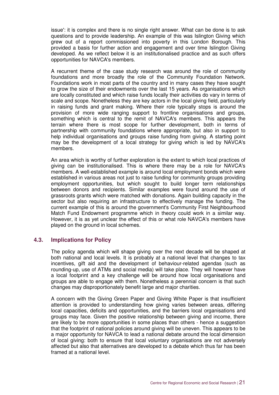issue': it is complex and there is no single right answer. What can be done is to ask questions and to provide leadership. An example of this was Islington Giving which grew out of a report commissioned into poverty in this London Borough. This provided a basis for further action and engagement and over time Islington Giving developed. As we reflect below it is an institutionalised practice and as such offers opportunities for NAVCA's members.

A recurrent theme of the case study research was around the role of community foundations and more broadly the role of the Community Foundation Network. Foundations work in most parts of the country and in many cases they have sought to grow the size of their endowments over the last 15 years. As organisations which are locally constituted and which raise funds locally their activities do vary in terms of scale and scope. Nonetheless they are key actors in the local giving field, particularly in raising funds and grant making. Where their role typically stops is around the provision of more wide ranging support to frontline organisations and groups, something which is central to the remit of NAVCA's members. This appears the terrain where there is most scope for further development, both in terms of partnership with community foundations where appropriate, but also in support to help individual organisations and groups raise funding from giving. A starting point may be the development of a local strategy for giving which is led by NAVCA's members.

An area which is worthy of further exploration is the extent to which local practices of giving can be institutionalised. This is where there may be a role for NAVCA's members. A well-established example is around local employment bonds which were established in various areas not just to raise funding for community groups providing employment opportunities, but which sought to build longer term relationships between donors and recipients. Similar examples were found around the use of grassroots grants which were matched with donations. Again building capacity in the sector but also requiring an infrastructure to effectively manage the funding. The current example of this is around the government's Community First Neighbourhood Match Fund Endowment programme which in theory could work in a similar way. However, it is as yet unclear the effect of this or what role NAVCA's members have played on the ground in local schemes.

### **4.3. Implications for Policy**

The policy agenda which will shape giving over the next decade will be shaped at both national and local levels. It is probably at a national level that changes to tax incentives, gift aid and the development of behaviour-related agendas (such as rounding-up, use of ATMs and social media) will take place. They will however have a local footprint and a key challenge will be around how local organisations and groups are able to engage with them. Nonetheless a perennial concern is that such changes may disproportionately benefit large and major charities.

A concern with the Giving Green Paper and Giving White Paper is that insufficient attention is provided to understanding how giving varies between areas, differing local capacities, deficits and opportunities, and the barriers local organisations and groups may face. Given the positive relationship between giving and income, there are likely to be more opportunities in some places than others - hence a suggestion that the footprint of national policies around giving will be uneven. This appears to be a major opportunity for NAVCA to lead a national debate around the local dimension of local giving: both to ensure that local voluntary organisations are not adversely affected but also that alternatives are developed to a debate which thus far has been framed at a national level.